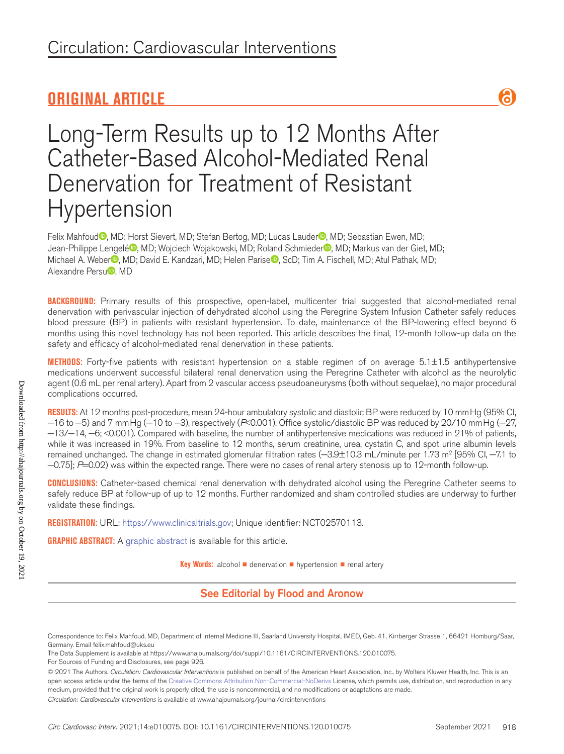## **ORIGINAL ARTICLE**



# Long-Term Results up to 12 Months After Catheter-Based Alcohol-Mediated Renal Denervation for Treatment of Resistant Hypertension

Felix Mahfoud<sup>®</sup>, MD; Horst Sievert, MD; Stefan Bertog, MD; Lucas Lauder<sup>®</sup>, MD; Sebastian Ewen, MD; Jean-Philippe Lengelé<sup>®</sup>, MD; Wojciech Wojakowski, MD; Roland Schmieder<sup>®</sup>, MD; Markus van der Giet, MD; Michael A. Weber<sup>®</sup>, MD; David E. Kandzari, MD; Helen Parise<sup>®</sup>, ScD; Tim A. Fischell, MD; Atul Pathak, MD; Alexandre Persu<sup>D</sup>, MD

**BACKGROUND:** Primary results of this prospective, open-label, multicenter trial suggested that alcohol-mediated renal denervation with perivascular injection of dehydrated alcohol using the Peregrine System Infusion Catheter safely reduces blood pressure (BP) in patients with resistant hypertension. To date, maintenance of the BP-lowering effect beyond 6 months using this novel technology has not been reported. This article describes the final, 12-month follow-up data on the safety and efficacy of alcohol-mediated renal denervation in these patients.

**METHODS:** Forty-five patients with resistant hypertension on a stable regimen of on average 5.1±1.5 antihypertensive medications underwent successful bilateral renal denervation using the Peregrine Catheter with alcohol as the neurolytic agent (0.6 mL per renal artery). Apart from 2 vascular access pseudoaneurysms (both without sequelae), no major procedural complications occurred.

**RESULTS:** At 12 months post-procedure, mean 24-hour ambulatory systolic and diastolic BP were reduced by 10 mmHg (95% CI, −16 to −5) and 7 mmHg (−10 to −3), respectively (*P*<0.001). Office systolic/diastolic BP was reduced by 20/10 mmHg (−27, −13/−14, −6; <0.001). Compared with baseline, the number of antihypertensive medications was reduced in 21% of patients, while it was increased in 19%. From baseline to 12 months, serum creatinine, urea, cystatin C, and spot urine albumin levels remained unchanged. The change in estimated glomerular filtration rates (—3.9±10.3 mL/minute per 1.73 mº [95% CI, —7.1 to −0.75]; *P*=0.02) was within the expected range. There were no cases of renal artery stenosis up to 12-month follow-up.

**CONCLUSIONS:** Catheter-based chemical renal denervation with dehydrated alcohol using the Peregrine Catheter seems to safely reduce BP at follow-up of up to 12 months. Further randomized and sham controlled studies are underway to further validate these findings.

**REGISTRATION:** URL: https://www.clinicaltrials.gov; Unique identifier: NCT02570113.

**GRAPHIC ABSTRACT:** A graphic abstract is available for this article.

**Key Words:** alcohol ■ denervation ■ hypertension ■ renal artery

See Editorial by Flood and Aronow

*Circulation: Cardiovascular Interventions* is available at www.ahajournals.org/journal/circinterventions

Correspondence to: Felix Mahfoud, MD, Department of Internal Medicine III, Saarland University Hospital, IMED, Geb. 41, Kirrberger Strasse 1, 66421 Homburg/Saar, Germany. Email [felix.mahfoud@uks.eu](mailto:felix.mahfoud@uks.eu)

The Data Supplement is available at https://www.ahajournals.org/doi/suppl/10.1161/CIRCINTERVENTIONS.120.010075.

For Sources of Funding and Disclosures, see page 926.

<sup>© 2021</sup> The Authors. *Circulation: Cardiovascular Interventions* is published on behalf of the American Heart Association, Inc., by Wolters Kluwer Health, Inc. This is an open access article under the terms of the Creative Commons Attribution Non-Commercial-NoDerivs License, which permits use, distribution, and reproduction in any medium, provided that the original work is properly cited, the use is noncommercial, and no modifications or adaptations are made.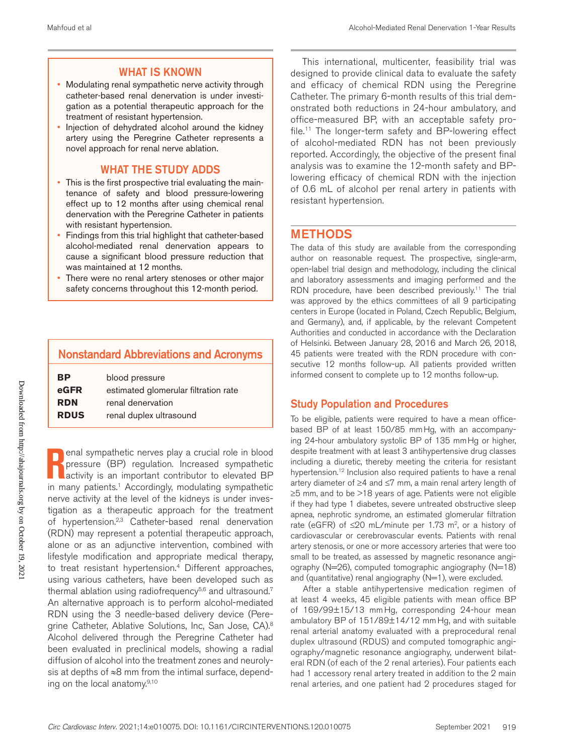#### WHAT IS KNOWN

- Modulating renal sympathetic nerve activity through catheter-based renal denervation is under investigation as a potential therapeutic approach for the treatment of resistant hypertension.
- Injection of dehydrated alcohol around the kidney artery using the Peregrine Catheter represents a novel approach for renal nerve ablation.

#### WHAT THE STUDY ADDS

- This is the first prospective trial evaluating the maintenance of safety and blood pressure-lowering effect up to 12 months after using chemical renal denervation with the Peregrine Catheter in patients with resistant hypertension.
- Findings from this trial highlight that catheter-based alcohol-mediated renal denervation appears to cause a significant blood pressure reduction that was maintained at 12 months.
- There were no renal artery stenoses or other major safety concerns throughout this 12-month period.

## Nonstandard Abbreviations and Acronyms

| <b>BP</b>   | blood pressure                       |
|-------------|--------------------------------------|
| eGFR        | estimated glomerular filtration rate |
| <b>RDN</b>  | renal denervation                    |
| <b>RDUS</b> | renal duplex ultrasound              |

**R**enal sympathetic nerves play a crucial role in blood<br>
pressure (BP) regulation. Increased sympathetic<br>
in many patients.<sup>1</sup> Accordingly, modulating sympathetic enal sympathetic nerves play a crucial role in blood pressure (BP) regulation. Increased sympathetic activity is an important contributor to elevated BP nerve activity at the level of the kidneys is under investigation as a therapeutic approach for the treatment of hypertension.<sup>2,3</sup> Catheter-based renal denervation (RDN) may represent a potential therapeutic approach, alone or as an adjunctive intervention, combined with lifestyle modification and appropriate medical therapy, to treat resistant hypertension.<sup>4</sup> Different approaches, using various catheters, have been developed such as thermal ablation using radiofrequency $5,6$  and ultrasound.<sup>7</sup> An alternative approach is to perform alcohol-mediated RDN using the 3 needle-based delivery device (Peregrine Catheter, Ablative Solutions, Inc, San Jose, CA).<sup>8</sup> Alcohol delivered through the Peregrine Catheter had been evaluated in preclinical models, showing a radial diffusion of alcohol into the treatment zones and neurolysis at depths of ≈8 mm from the intimal surface, depending on the local anatomy. $9,10$ 

This international, multicenter, feasibility trial was designed to provide clinical data to evaluate the safety and efficacy of chemical RDN using the Peregrine Catheter. The primary 6-month results of this trial demonstrated both reductions in 24-hour ambulatory, and office-measured BP, with an acceptable safety profile.11 The longer-term safety and BP-lowering effect of alcohol-mediated RDN has not been previously reported. Accordingly, the objective of the present final analysis was to examine the 12-month safety and BPlowering efficacy of chemical RDN with the injection of 0.6 mL of alcohol per renal artery in patients with resistant hypertension.

## METHODS

The data of this study are available from the corresponding author on reasonable request. The prospective, single-arm, open-label trial design and methodology, including the clinical and laboratory assessments and imaging performed and the RDN procedure, have been described previously.<sup>11</sup> The trial was approved by the ethics committees of all 9 participating centers in Europe (located in Poland, Czech Republic, Belgium, and Germany), and, if applicable, by the relevant Competent Authorities and conducted in accordance with the Declaration of Helsinki. Between January 28, 2016 and March 26, 2018, 45 patients were treated with the RDN procedure with consecutive 12 months follow-up. All patients provided written informed consent to complete up to 12 months follow-up.

## Study Population and Procedures

To be eligible, patients were required to have a mean officebased BP of at least 150/85 mmHg, with an accompanying 24-hour ambulatory systolic BP of 135 mmHg or higher, despite treatment with at least 3 antihypertensive drug classes including a diuretic, thereby meeting the criteria for resistant hypertension.<sup>12</sup> Inclusion also required patients to have a renal artery diameter of ≥4 and ≤7 mm, a main renal artery length of ≥5 mm, and to be >18 years of age. Patients were not eligible if they had type 1 diabetes, severe untreated obstructive sleep apnea, nephrotic syndrome, an estimated glomerular filtration rate (eGFR) of ≤20 mL/minute per 1.73 m<sup>2</sup>, or a history of cardiovascular or cerebrovascular events. Patients with renal artery stenosis, or one or more accessory arteries that were too small to be treated, as assessed by magnetic resonance angiography (N=26), computed tomographic angiography (N=18) and (quantitative) renal angiography (N=1), were excluded.

After a stable antihypertensive medication regimen of at least 4 weeks, 45 eligible patients with mean office BP of 169/99±15/13 mmHg, corresponding 24-hour mean ambulatory BP of 151/89±14/12 mm Hg, and with suitable renal arterial anatomy evaluated with a preprocedural renal duplex ultrasound (RDUS) and computed tomographic angiography/magnetic resonance angiography, underwent bilateral RDN (of each of the 2 renal arteries). Four patients each had 1 accessory renal artery treated in addition to the 2 main renal arteries, and one patient had 2 procedures staged for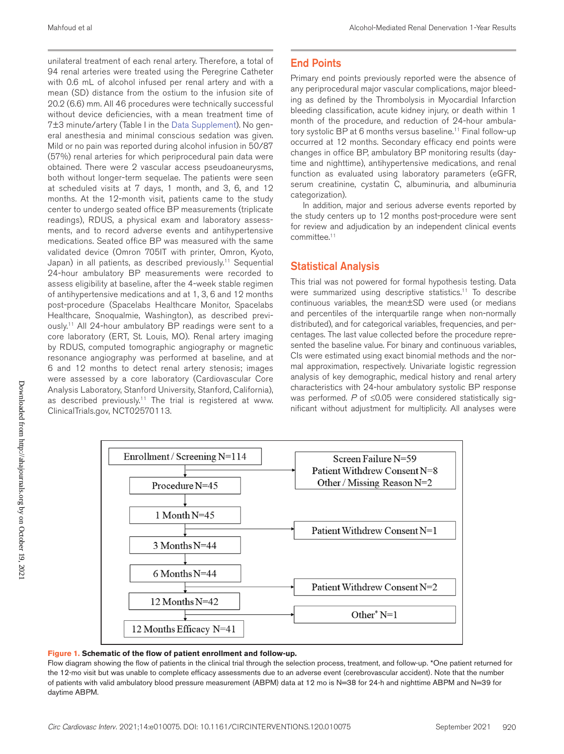unilateral treatment of each renal artery. Therefore, a total of 94 renal arteries were treated using the Peregrine Catheter with 0.6 mL of alcohol infused per renal artery and with a mean (SD) distance from the ostium to the infusion site of 20.2 (6.6) mm. All 46 procedures were technically successful without device deficiencies, with a mean treatment time of 7±3 minute/artery (Table I in the Data Supplement). No general anesthesia and minimal conscious sedation was given. Mild or no pain was reported during alcohol infusion in 50/87 (57%) renal arteries for which periprocedural pain data were obtained. There were 2 vascular access pseudoaneurysms, both without longer-term sequelae. The patients were seen at scheduled visits at 7 days, 1 month, and 3, 6, and 12 months. At the 12-month visit, patients came to the study center to undergo seated office BP measurements (triplicate readings), RDUS, a physical exam and laboratory assessments, and to record adverse events and antihypertensive medications. Seated office BP was measured with the same validated device (Omron 705IT with printer, Omron, Kyoto, Japan) in all patients, as described previously.<sup>11</sup> Sequential 24-hour ambulatory BP measurements were recorded to assess eligibility at baseline, after the 4-week stable regimen of antihypertensive medications and at 1, 3, 6 and 12 months post-procedure (Spacelabs Healthcare Monitor, Spacelabs Healthcare, Snoqualmie, Washington), as described previously.11 All 24-hour ambulatory BP readings were sent to a core laboratory (ERT, St. Louis, MO). Renal artery imaging by RDUS, computed tomographic angiography or magnetic resonance angiography was performed at baseline, and at 6 and 12 months to detect renal artery stenosis; images were assessed by a core laboratory (Cardiovascular Core Analysis Laboratory, Stanford University, Stanford, California), as described previously.<sup>11</sup> The trial is registered at www. ClinicalTrials.gov, NCT02570113.

## End Points

Primary end points previously reported were the absence of any periprocedural major vascular complications, major bleeding as defined by the Thrombolysis in Myocardial Infarction bleeding classification, acute kidney injury, or death within 1 month of the procedure, and reduction of 24-hour ambulatory systolic BP at 6 months versus baseline.<sup>11</sup> Final follow-up occurred at 12 months. Secondary efficacy end points were changes in office BP, ambulatory BP monitoring results (daytime and nighttime), antihypertensive medications, and renal function as evaluated using laboratory parameters (eGFR, serum creatinine, cystatin C, albuminuria, and albuminuria categorization).

In addition, major and serious adverse events reported by the study centers up to 12 months post-procedure were sent for review and adjudication by an independent clinical events committee.11

## Statistical Analysis

This trial was not powered for formal hypothesis testing. Data were summarized using descriptive statistics.<sup>11</sup> To describe continuous variables, the mean±SD were used (or medians and percentiles of the interquartile range when non-normally distributed), and for categorical variables, frequencies, and percentages. The last value collected before the procedure represented the baseline value. For binary and continuous variables, CIs were estimated using exact binomial methods and the normal approximation, respectively. Univariate logistic regression analysis of key demographic, medical history and renal artery characteristics with 24-hour ambulatory systolic BP response was performed. *P* of ≤0.05 were considered statistically significant without adjustment for multiplicity. All analyses were



#### **Figure 1. Schematic of the flow of patient enrollment and follow-up.**

Flow diagram showing the flow of patients in the clinical trial through the selection process, treatment, and follow-up. \*One patient returned for the 12-mo visit but was unable to complete efficacy assessments due to an adverse event (cerebrovascular accident). Note that the number of patients with valid ambulatory blood pressure measurement (ABPM) data at 12 mo is N=38 for 24-h and nighttime ABPM and N=39 for daytime ABPM.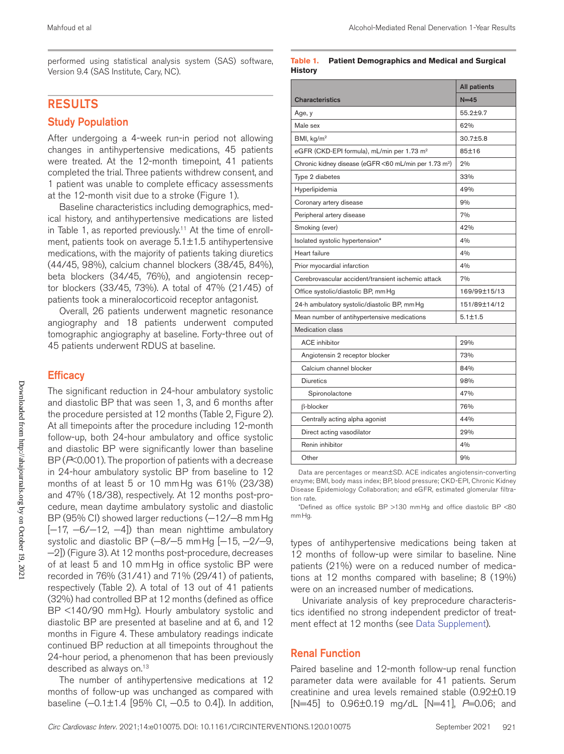## RESULTS

#### Study Population

After undergoing a 4-week run-in period not allowing changes in antihypertensive medications, 45 patients were treated. At the 12-month timepoint, 41 patients completed the trial. Three patients withdrew consent, and 1 patient was unable to complete efficacy assessments at the 12-month visit due to a stroke (Figure 1).

Baseline characteristics including demographics, medical history, and antihypertensive medications are listed in Table 1, as reported previously.<sup>11</sup> At the time of enrollment, patients took on average  $5.1 \pm 1.5$  antihypertensive medications, with the majority of patients taking diuretics (44/45, 98%), calcium channel blockers (38/45, 84%), beta blockers (34/45, 76%), and angiotensin receptor blockers (33/45, 73%). A total of 47% (21/45) of patients took a mineralocorticoid receptor antagonist.

Overall, 26 patients underwent magnetic resonance angiography and 18 patients underwent computed tomographic angiography at baseline. Forty-three out of 45 patients underwent RDUS at baseline.

## **Efficacy**

The significant reduction in 24-hour ambulatory systolic and diastolic BP that was seen 1, 3, and 6 months after the procedure persisted at 12 months (Table 2, Figure 2). At all timepoints after the procedure including 12-month follow-up, both 24-hour ambulatory and office systolic and diastolic BP were significantly lower than baseline BP (*P*<0.001). The proportion of patients with a decrease in 24-hour ambulatory systolic BP from baseline to 12 months of at least 5 or 10 mmHg was 61% (23/38) and 47% (18/38), respectively. At 12 months post-procedure, mean daytime ambulatory systolic and diastolic BP (95% CI) showed larger reductions (-12/-8 mm Hg [−17, −6/−12, −4]) than mean nighttime ambulatory systolic and diastolic BP (-8/-5 mm Hg [-15, -2/-9, −2]) (Figure 3). At 12 months post-procedure, decreases of at least 5 and 10 mmHg in office systolic BP were recorded in 76% (31/41) and 71% (29/41) of patients, respectively (Table 2). A total of 13 out of 41 patients (32%) had controlled BP at 12 months (defined as office BP <140/90 mmHg). Hourly ambulatory systolic and diastolic BP are presented at baseline and at 6, and 12 months in Figure 4. These ambulatory readings indicate continued BP reduction at all timepoints throughout the 24-hour period, a phenomenon that has been previously described as always on.<sup>13</sup>

The number of antihypertensive medications at 12 months of follow-up was unchanged as compared with baseline (−0.1±1.4 [95% CI, −0.5 to 0.4]). In addition,

#### **Table 1. Patient Demographics and Medical and Surgical History**

|                                                                   | <b>All patients</b> |  |  |  |
|-------------------------------------------------------------------|---------------------|--|--|--|
| <b>Characteristics</b>                                            | $N=45$              |  |  |  |
| Age, y                                                            | 55.2±9.7            |  |  |  |
| Male sex                                                          | 62%                 |  |  |  |
| BMI, $kq/m^2$                                                     | 30.7±5.8            |  |  |  |
| eGFR (CKD-EPI formula), mL/min per 1.73 m <sup>2</sup>            | 85±16               |  |  |  |
| Chronic kidney disease (eGFR <60 mL/min per 1.73 m <sup>2</sup> ) | 2%                  |  |  |  |
| Type 2 diabetes                                                   | 33%                 |  |  |  |
| Hyperlipidemia                                                    | 49%                 |  |  |  |
| Coronary artery disease                                           | 9%                  |  |  |  |
| Peripheral artery disease                                         | 7%                  |  |  |  |
| Smoking (ever)                                                    | 42%                 |  |  |  |
| Isolated systolic hypertension*                                   | 4%                  |  |  |  |
| Heart failure                                                     | 4%                  |  |  |  |
| Prior myocardial infarction                                       | 4%                  |  |  |  |
| Cerebrovascular accident/transient ischemic attack                | 7%                  |  |  |  |
| Office systolic/diastolic BP, mm Hg                               | 169/99±15/13        |  |  |  |
| 24-h ambulatory systolic/diastolic BP, mm Hg                      | 151/89±14/12        |  |  |  |
| Mean number of antihypertensive medications                       | $5.1 + 1.5$         |  |  |  |
| Medication class                                                  |                     |  |  |  |
| <b>ACE</b> inhibitor                                              | 29%                 |  |  |  |
| Angiotensin 2 receptor blocker                                    | 73%                 |  |  |  |
| Calcium channel blocker                                           | 84%                 |  |  |  |
| <b>Diuretics</b>                                                  | 98%                 |  |  |  |
| Spironolactone                                                    | 47%                 |  |  |  |
| $\beta$ -blocker                                                  | 76%                 |  |  |  |
| Centrally acting alpha agonist                                    | 44%                 |  |  |  |
| Direct acting vasodilator                                         | 29%                 |  |  |  |
| Renin inhibitor                                                   | 4%                  |  |  |  |
| Other                                                             | 9%                  |  |  |  |

Data are percentages or mean±SD. ACE indicates angiotensin-converting enzyme; BMI, body mass index; BP, blood pressure; CKD-EPI, Chronic Kidney Disease Epidemiology Collaboration; and eGFR, estimated glomerular filtration rate.

\*Defined as office systolic BP >130 mmHg and office diastolic BP <80 mmHg.

types of antihypertensive medications being taken at 12 months of follow-up were similar to baseline. Nine patients (21%) were on a reduced number of medications at 12 months compared with baseline; 8 (19%) were on an increased number of medications.

Univariate analysis of key preprocedure characteristics identified no strong independent predictor of treatment effect at 12 months (see Data Supplement).

## Renal Function

Paired baseline and 12-month follow-up renal function parameter data were available for 41 patients. Serum creatinine and urea levels remained stable (0.92±0.19 [N=45] to 0.96±0.19 mg/dL [N=41], *P*=0.06; and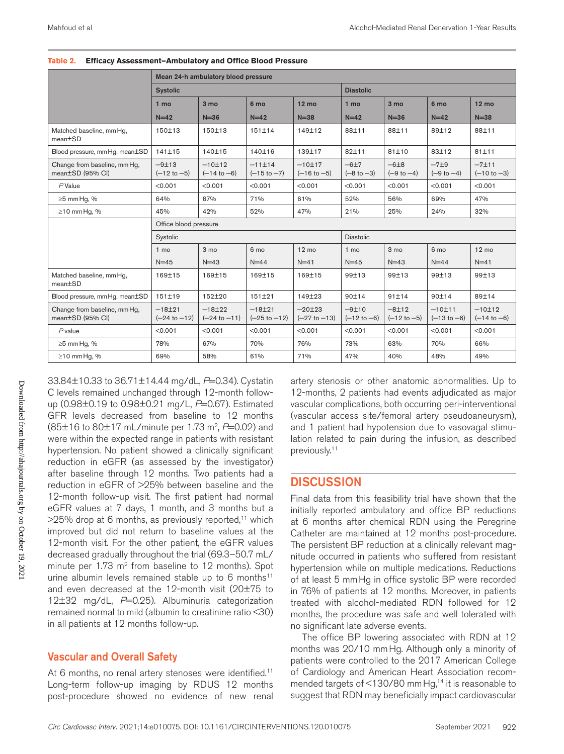|                                                  | Mean 24-h ambulatory blood pressure |                                       |                                     |                                    |                                   |                                   |                                   |                                   |  |  |
|--------------------------------------------------|-------------------------------------|---------------------------------------|-------------------------------------|------------------------------------|-----------------------------------|-----------------------------------|-----------------------------------|-----------------------------------|--|--|
|                                                  | <b>Systolic</b>                     |                                       |                                     |                                    | <b>Diastolic</b>                  |                                   |                                   |                                   |  |  |
|                                                  | 1 mo                                | 3 <sub>mo</sub>                       | 6 mo                                | $12 \text{ mo}$                    | 1 mo                              | 3 <sub>mo</sub>                   | 6 mo                              | $12 \text{ mo}$                   |  |  |
|                                                  | $N=42$                              | $N = 36$                              | $N=42$                              | $N = 38$                           | $N=42$                            | $N = 36$                          | $N=42$                            | $N = 38$                          |  |  |
| Matched baseline, mm Hq,<br>mean±SD              | 150±13                              | 150±13                                | 151±14                              | 149±12                             | 88±11                             | 88±11                             | 89±12                             | 88±11                             |  |  |
| Blood pressure, mm Hq, mean±SD                   | 141±15                              | 140±15                                | 140±16                              | 139±17                             | 82±11                             | 81±10                             | 83±12                             | $81 + 11$                         |  |  |
| Change from baseline, mm Hg,<br>mean±SD (95% CI) | $-9±13$<br>$(-12 \text{ to } -5)$   | $-10±12$<br>$(-14 \text{ to } -6)$    | $-11±14$<br>$(-15 \text{ to } -7)$  | $-10±17$<br>$(-16 \text{ to } -5)$ | $-6±7$<br>$(-8 \text{ to } -3)$   | $-6±8$<br>$(-9 \text{ to } -4)$   | $-7\pm9$<br>$(-9 \text{ to } -4)$ | $-7±11$<br>$(-10 \text{ to } -3)$ |  |  |
| $P$ Value                                        | < 0.001                             | < 0.001                               | < 0.001                             | < 0.001                            | < 0.001                           | < 0.001                           | < 0.001                           | < 0.001                           |  |  |
| $\geq$ 5 mm Hg, %                                | 64%                                 | 67%                                   | 71%                                 | 61%                                | 52%                               | 56%                               | 69%                               | 47%                               |  |  |
| $\geq$ 10 mm Hq, %                               | 45%                                 | 42%                                   | 52%                                 | 47%                                | 21%                               | 25%                               | 24%                               | 32%                               |  |  |
|                                                  | Office blood pressure               |                                       |                                     |                                    |                                   |                                   |                                   |                                   |  |  |
|                                                  | Systolic                            |                                       |                                     |                                    | <b>Diastolic</b>                  |                                   |                                   |                                   |  |  |
|                                                  | 1 <sub>mo</sub>                     | 3 mo                                  | 6 mo                                | $12 \text{ mo}$                    | 1 mo                              | 3 mo                              | 6 mo                              | $12 \text{ mo}$                   |  |  |
|                                                  | $N=45$                              | $N = 43$                              | $N=44$                              | $N=41$                             | $N=45$                            | $N=43$                            | $N = 44$                          | $N=41$                            |  |  |
| Matched baseline, mm Hg,<br>mean±SD              | 169±15                              | 169±15                                | 169±15                              | 169±15                             | 99±13                             | 99±13                             | 99±13                             | 99±13                             |  |  |
| Blood pressure, mm Hq, mean±SD                   | 151±19                              | 152±20                                | 151±21                              | 149±23                             | 90±14                             | 91±14                             | 90±14                             | 89±14                             |  |  |
| Change from baseline, mm Hg,<br>mean±SD (95% CI) | $-18±21$<br>$(-24 \text{ to } -12)$ | $-18 + 22$<br>$(-24 \text{ to } -11)$ | $-18±21$<br>$(-25 \text{ to } -12)$ | $-20±23$<br>$(-27 to -13)$         | $-9±10$<br>$(-12 \text{ to } -6)$ | $-8±12$<br>$(-12 \text{ to } -5)$ | $-10±11$<br>$(-13 to -6)$         | $-10±12$<br>$(-14 to -6)$         |  |  |
| $P$ value                                        | < 0.001                             | < 0.001                               | < 0.001                             | < 0.001                            | < 0.001                           | < 0.001                           | < 0.001                           | < 0.001                           |  |  |
| $\geq$ 5 mm Hq, %                                | 78%                                 | 67%                                   | 70%                                 | 76%                                | 73%                               | 63%                               | 70%                               | 66%                               |  |  |
| $\geq$ 10 mm Hq, %                               | 69%                                 | 58%                                   | 61%                                 | 71%                                | 47%                               | 40%                               | 48%                               | 49%                               |  |  |

**Table 2. Efficacy Assessment—Ambulatory and Office Blood Pressure**

33.84±10.33 to 36.71±14.44 mg/dL, *P*=0.34). Cystatin C levels remained unchanged through 12-month followup (0.98±0.19 to 0.98±0.21 mg/L, *P*=0.67). Estimated GFR levels decreased from baseline to 12 months (85±16 to 80±17 mL/minute per 1.73 m<sup>2</sup>, P=0.02) and were within the expected range in patients with resistant hypertension. No patient showed a clinically significant reduction in eGFR (as assessed by the investigator) after baseline through 12 months. Two patients had a reduction in eGFR of >25% between baseline and the 12-month follow-up visit. The first patient had normal eGFR values at 7 days, 1 month, and 3 months but a  $>25\%$  drop at 6 months, as previously reported,<sup>11</sup> which improved but did not return to baseline values at the 12-month visit. For the other patient, the eGFR values decreased gradually throughout the trial (69.3–50.7 mL/ minute per 1.73 m<sup>2</sup> from baseline to 12 months). Spot urine albumin levels remained stable up to 6 months<sup>11</sup> and even decreased at the 12-month visit (20±75 to 12±32 mg/dL, *P*=0.25). Albuminuria categorization remained normal to mild (albumin to creatinine ratio <30) in all patients at 12 months follow-up.

## Vascular and Overall Safety

At 6 months, no renal artery stenoses were identified.<sup>11</sup> Long-term follow-up imaging by RDUS 12 months post-procedure showed no evidence of new renal artery stenosis or other anatomic abnormalities. Up to 12-months, 2 patients had events adjudicated as major vascular complications, both occurring peri-interventional (vascular access site/femoral artery pseudoaneurysm), and 1 patient had hypotension due to vasovagal stimulation related to pain during the infusion, as described previously.11

## **DISCUSSION**

Final data from this feasibility trial have shown that the initially reported ambulatory and office BP reductions at 6 months after chemical RDN using the Peregrine Catheter are maintained at 12 months post-procedure. The persistent BP reduction at a clinically relevant magnitude occurred in patients who suffered from resistant hypertension while on multiple medications. Reductions of at least 5 mmHg in office systolic BP were recorded in 76% of patients at 12 months. Moreover, in patients treated with alcohol-mediated RDN followed for 12 months, the procedure was safe and well tolerated with no significant late adverse events.

The office BP lowering associated with RDN at 12 months was 20/10 mmHg. Although only a minority of patients were controlled to the 2017 American College of Cardiology and American Heart Association recommended targets of <130/80 mmHg,<sup>14</sup> it is reasonable to suggest that RDN may beneficially impact cardiovascular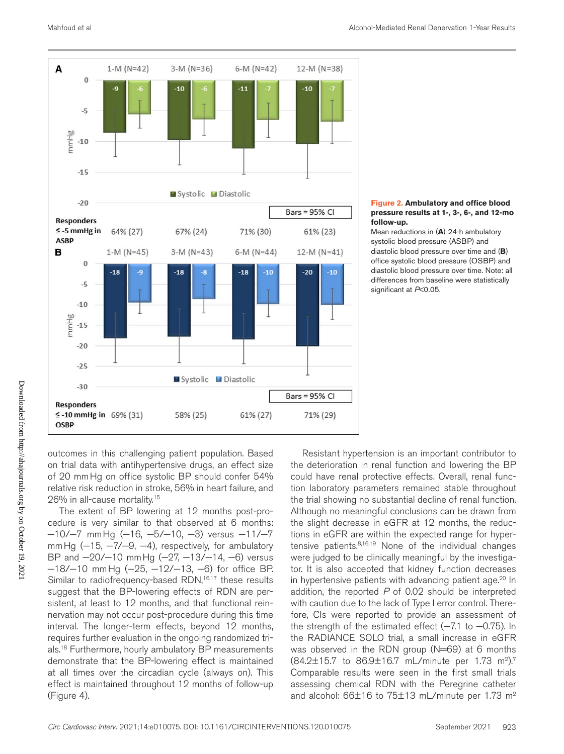

#### **Figure 2. Ambulatory and office blood pressure results at 1-, 3-, 6-, and 12-mo follow-up.**

Mean reductions in (**A**) 24-h ambulatory systolic blood pressure (ASBP) and diastolic blood pressure over time and (**B**) office systolic blood pressure (OSBP) and diastolic blood pressure over time. Note: all differences from baseline were statistically significant at *P*<0.05.

outcomes in this challenging patient population. Based on trial data with antihypertensive drugs, an effect size of 20 mmHg on office systolic BP should confer 54% relative risk reduction in stroke, 56% in heart failure, and 26% in all-cause mortality.15

The extent of BP lowering at 12 months post-procedure is very similar to that observed at 6 months: −10/−7 mmHg (−16, −5/−10, −3) versus −11/−7 mm Hg (-15, -7/-9, -4), respectively, for ambulatory BP and  $-20/−10$  mmHg ( $-27$ ,  $-13/−14$ ,  $-6$ ) versus −18/−10 mmHg (−25, −12/−13, −6) for office BP. Similar to radiofrequency-based RDN,<sup>16,17</sup> these results suggest that the BP-lowering effects of RDN are persistent, at least to 12 months, and that functional reinnervation may not occur post-procedure during this time interval. The longer-term effects, beyond 12 months, requires further evaluation in the ongoing randomized trials.<sup>18</sup> Furthermore, hourly ambulatory BP measurements demonstrate that the BP-lowering effect is maintained at all times over the circadian cycle (always on). This effect is maintained throughout 12 months of follow-up (Figure 4).

Resistant hypertension is an important contributor to the deterioration in renal function and lowering the BP could have renal protective effects. Overall, renal function laboratory parameters remained stable throughout the trial showing no substantial decline of renal function. Although no meaningful conclusions can be drawn from the slight decrease in eGFR at 12 months, the reductions in eGFR are within the expected range for hypertensive patients.8,16,19 None of the individual changes were judged to be clinically meaningful by the investigator. It is also accepted that kidney function decreases in hypertensive patients with advancing patient age.<sup>20</sup> In addition, the reported *P* of 0.02 should be interpreted with caution due to the lack of Type I error control. Therefore, CIs were reported to provide an assessment of the strength of the estimated effect (−7.1 to −0.75). In the RADIANCE SOLO trial, a small increase in eGFR was observed in the RDN group (N=69) at 6 months  $(84.2 \pm 15.7)$  to  $86.9 \pm 16.7$  mL/minute per 1.73 m<sup>2</sup>).<sup>7</sup> Comparable results were seen in the first small trials assessing chemical RDN with the Peregrine catheter and alcohol:  $66±16$  to  $75±13$  mL/minute per 1.73 m<sup>2</sup>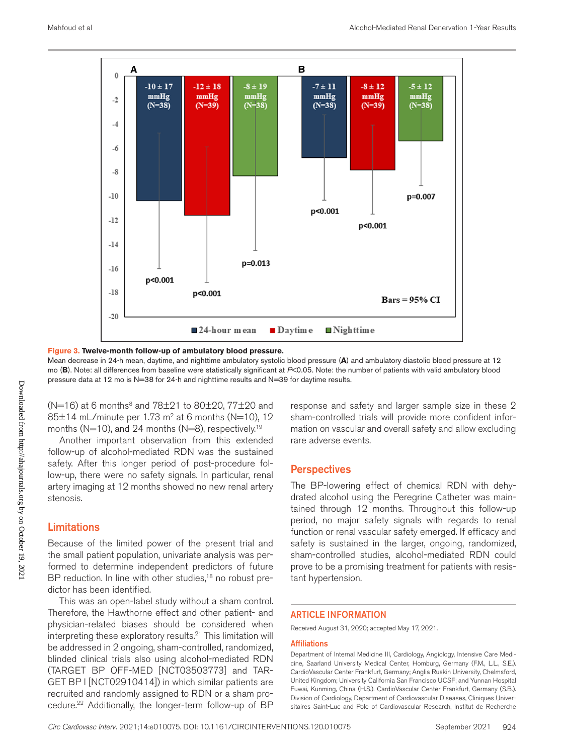

**Figure 3. Twelve-month follow-up of ambulatory blood pressure.**

Mean decrease in 24-h mean, daytime, and nighttime ambulatory systolic blood pressure (**A**) and ambulatory diastolic blood pressure at 12 mo (**B**). Note: all differences from baseline were statistically significant at *P*<0.05. Note: the number of patients with valid ambulatory blood pressure data at 12 mo is N=38 for 24-h and nighttime results and N=39 for daytime results.

 $(N=16)$  at 6 months<sup>8</sup> and 78 $\pm$ 21 to 80 $\pm$ 20, 77 $\pm$ 20 and 85 $\pm$ 14 mL/minute per 1.73 m<sup>2</sup> at 6 months (N=10), 12 months ( $N=10$ ), and 24 months ( $N=8$ ), respectively.<sup>19</sup>

Another important observation from this extended follow-up of alcohol-mediated RDN was the sustained safety. After this longer period of post-procedure follow-up, there were no safety signals. In particular, renal artery imaging at 12 months showed no new renal artery stenosis.

## Limitations

Because of the limited power of the present trial and the small patient population, univariate analysis was performed to determine independent predictors of future BP reduction. In line with other studies,<sup>18</sup> no robust predictor has been identified.

This was an open-label study without a sham control. Therefore, the Hawthorne effect and other patient- and physician-related biases should be considered when interpreting these exploratory results.<sup>21</sup> This limitation will be addressed in 2 ongoing, sham-controlled, randomized, blinded clinical trials also using alcohol-mediated RDN (TARGET BP OFF-MED [NCT03503773] and TAR-GET BP I [NCT02910414]) in which similar patients are recruited and randomly assigned to RDN or a sham procedure.<sup>22</sup> Additionally, the longer-term follow-up of BP response and safety and larger sample size in these 2 sham-controlled trials will provide more confident information on vascular and overall safety and allow excluding rare adverse events.

## **Perspectives**

The BP-lowering effect of chemical RDN with dehydrated alcohol using the Peregrine Catheter was maintained through 12 months. Throughout this follow-up period, no major safety signals with regards to renal function or renal vascular safety emerged. If efficacy and safety is sustained in the larger, ongoing, randomized, sham-controlled studies, alcohol-mediated RDN could prove to be a promising treatment for patients with resistant hypertension.

#### ARTICLE INFORMATION

Received August 31, 2020; accepted May 17, 2021.

#### **Affiliations**

Department of Internal Medicine III, Cardiology, Angiology, Intensive Care Medicine, Saarland University Medical Center, Homburg, Germany (F.M., L.L., S.E.). CardioVascular Center Frankfurt, Germany; Anglia Ruskin University, Chelmsford, United Kingdom; University California San Francisco UCSF; and Yunnan Hospital Fuwai, Kunming, China (H.S.). CardioVascular Center Frankfurt, Germany (S.B.). Division of Cardiology, Department of Cardiovascular Diseases, Cliniques Universitaires Saint-Luc and Pole of Cardiovascular Research, Institut de Recherche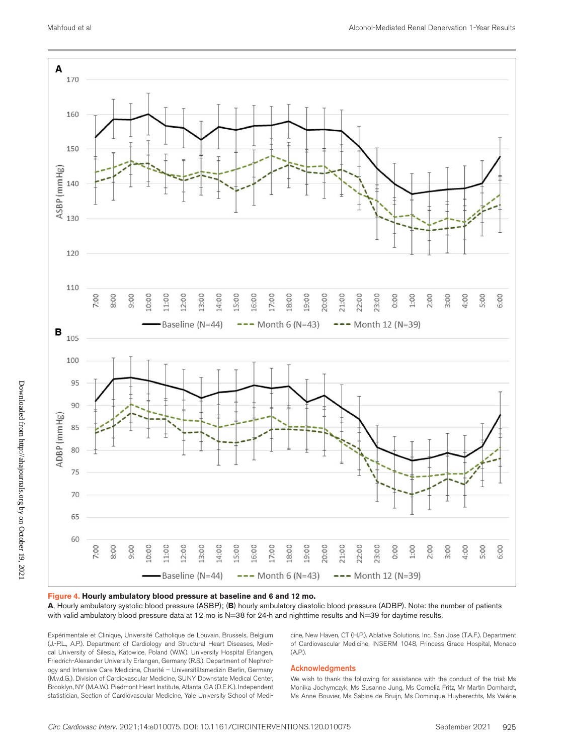

#### **Figure 4. Hourly ambulatory blood pressure at baseline and 6 and 12 mo.**

**A**, Hourly ambulatory systolic blood pressure (ASBP); (**B**) hourly ambulatory diastolic blood pressure (ADBP). Note: the number of patients with valid ambulatory blood pressure data at 12 mo is N=38 for 24-h and nighttime results and N=39 for daytime results.

Expérimentale et Clinique, Université Catholique de Louvain, Brussels, Belgium (J.-P.L., A.P.). Department of Cardiology and Structural Heart Diseases, Medical University of Silesia, Katowice, Poland (W.W.). University Hospital Erlangen, Friedrich-Alexander University Erlangen, Germany (R.S.). Department of Nephrology and Intensive Care Medicine, Charité – Universitätsmedizin Berlin, Germany (M.v.d.G.). Division of Cardiovascular Medicine, SUNY Downstate Medical Center, Brooklyn, NY (M.A.W.). Piedmont Heart Institute, Atlanta, GA (D.E.K.). Independent statistician, Section of Cardiovascular Medicine, Yale University School of Medicine, New Haven, CT (H.P.). Ablative Solutions, Inc, San Jose (T.A.F.). Department of Cardiovascular Medicine, INSERM 1048, Princess Grace Hospital, Monaco (A.P.).

#### Acknowledgments

We wish to thank the following for assistance with the conduct of the trial: Ms Monika Jochymczyk, Ms Susanne Jung, Ms Cornelia Fritz, Mr Martin Domhardt, Ms Anne Bouvier, Ms Sabine de Bruijn, Ms Dominique Huyberechts, Ms Valérie